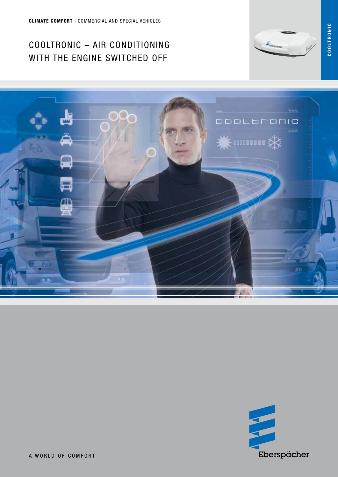# COOLTRONIC - AIR CONDITIONING WITH THE ENGINE SWITCHED OFF





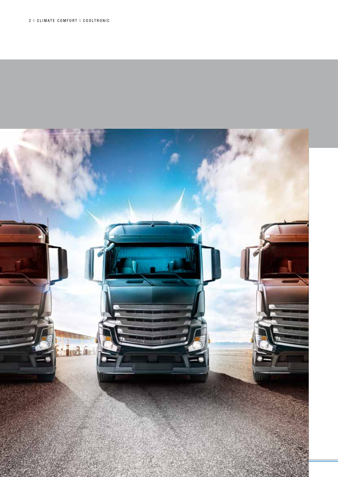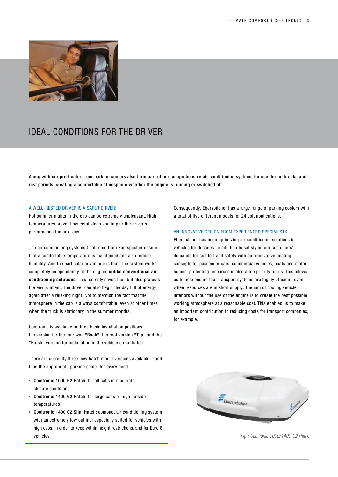

## Ideal conditions for the driver

Along with our pre-heaters, our parking coolers also form part of our comprehensive air conditioning systems for use during breaks and rest periods, creating a comfortable atmosphere whether the engine is running or switched off.

## A well-rested driver is a safer driver:

Hot summer nights in the cab can be extremely unpleasant. High temperatures prevent peaceful sleep and impair the driver's performance the next day.

The air conditioning systems Cooltronic from Eberspächer ensure that a comfortable temperature is maintained and also reduce humidity. And the particular advantage is that: The system works completely independently of the engine, unlike conventional air conditioning solutions. This not only saves fuel, but also protects the environment. The driver can also begin the day full of energy again after a relaxing night. Not to mention the fact that the atmosphere in the cab is always comfortable, even at other times when the truck is stationary in the summer months.

Cooltronic is available in three basic installation positions: the version for the rear wall "Back", the roof version "Top" and the "Hatch" version for installation in the vehicle's roof hatch.

There are currently three new hatch model versions available – and thus the appropriate parking cooler for every need:

- Cooltronic 1000 G2 Hatch: for all cabs in moderate climate conditions
- Cooltronic 1400 G2 Hatch: for large cabs or high outside temperatures
- Cooltronic 1400 G2 Slim Hatch: compact air conditioning system with an extremely low outline; especially suited for vehicles with high cabs, in order to keep within height restrictions, and for Euro 6 vehicles

Consequently, Eberspächer has a large range of parking coolers with a total of five different models for 24 volt applications.

## An innovative design from experienced specialists:

Eberspächer has been optimizing air conditioning solutions in vehicles for decades. In addition to satisfying our customers' demands for comfort and safety with our innovative heating concepts for passenger cars, commercial vehicles, boats and motor homes, protecting resources is also a top priority for us. This allows us to help ensure that transport systems are highly efficient, even when resources are in short supply. The aim of cooling vehicle interiors without the use of the engine is to create the best possible working atmosphere at a reasonable cost. This enables us to make an important contribution to reducing costs for transport companies, for example.



Fig.: Cooltronic 1000/1400 G2 Hatch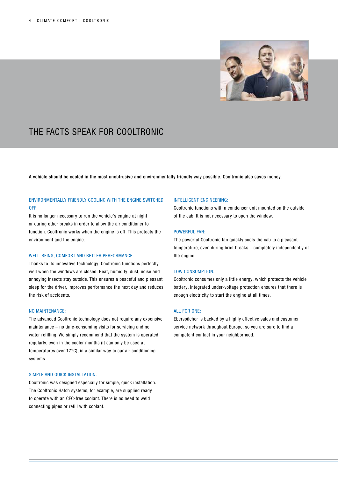

## the facts speak for Cooltronic

A vehicle should be cooled in the most unobtrusive and environmentally friendly way possible. Cooltronic also saves money.

## Environmentally friendly cooling with the engine switched OFF:

It is no longer necessary to run the vehicle's engine at night or during other breaks in order to allow the air conditioner to function. Cooltronic works when the engine is off. This protects the environment and the engine.

### WELL-BEING, COMFORT AND BETTER PERFORMANCE:

Thanks to its innovative technology, Cooltronic functions perfectly well when the windows are closed. Heat, humidity, dust, noise and annoying insects stay outside. This ensures a peaceful and pleasant sleep for the driver, improves performance the next day and reduces the risk of accidents.

### No maintenance:

The advanced Cooltronic technology does not require any expensive maintenance – no time-consuming visits for servicing and no water refilling. We simply recommend that the system is operated regularly, even in the cooler months (it can only be used at temperatures over 17°C), in a similar way to car air conditioning systems.

## Simple and quick installation:

Cooltronic was designed especially for simple, quick installation. The Cooltronic Hatch systems, for example, are supplied ready to operate with an CFC-free coolant. There is no need to weld connecting pipes or refill with coolant.

### Intelligent engineering:

Cooltronic functions with a condenser unit mounted on the outside of the cab. It is not necessary to open the window.

## POWERFUL FAN:

The powerful Cooltronic fan quickly cools the cab to a pleasant temperature, even during brief breaks – completely independently of the engine.

### Low consumption:

Cooltronic consumes only a little energy, which protects the vehicle battery. Integrated under-voltage protection ensures that there is enough electricity to start the engine at all times.

## All for one:

Eberspächer is backed by a highly effective sales and customer service network throughout Europe, so you are sure to find a competent contact in your neighborhood.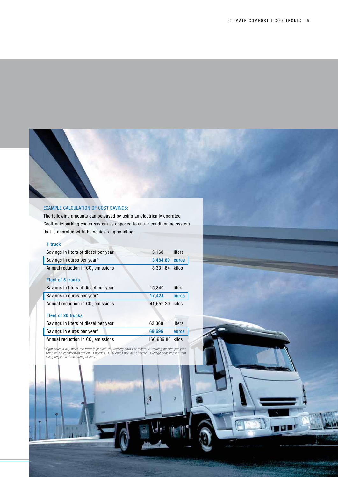ъı

## EXAMPLE CALCULATION OF COST SAVINGS:

The following amounts can be saved by using an electrically operated Cooltronic parking cooler system as opposed to an air conditioning system that is operated with the vehicle engine idling:

## 1 truck

| Savings in liters of diesel per year          | 3,168     | liters |
|-----------------------------------------------|-----------|--------|
| Savings in euros per year*                    | 3,484.80  | euros  |
| Annual reduction in CO <sub>2</sub> emissions | 8,331.84  | kilos  |
| <b>Fleet of 5 trucks</b>                      |           |        |
| Savings in liters of diesel per year          | 15,840    | liters |
| Savings in euros per year*                    | 17,424    | euros  |
| Annual reduction in CO <sub>2</sub> emissions | 41,659.20 | kilos  |
| <b>Fleet of 20 trucks</b>                     |           |        |
| Savings in liters of diesel per year          | 63,360    | liters |
| Savings in euros per year*                    | 69,696    | euros  |

| <b>Davillys III curvs por year</b>            | ບສ.ບສບ           | <b>GUIUS</b> |
|-----------------------------------------------|------------------|--------------|
| Annual reduction in CO <sub>2</sub> emissions | 166,636.80 kilos |              |

\* Eight hours a day when the truck is parked. 22 working days per month. 6 working months per year<br>when an air-conditioning system is needed. 1.10 euros per liter of diesel. Average consumption with<br>idling engine is three

ø

Ñ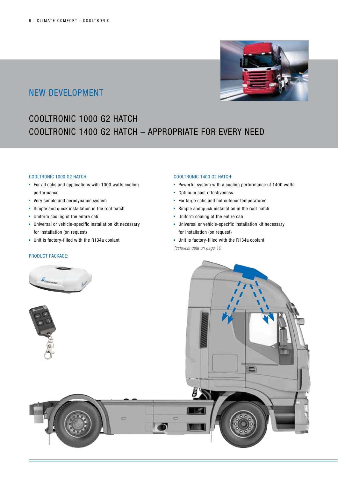## New development

# Cooltronic 1000 G2 Hatch Cooltronic 1400 G2 Hatch – appropriate for every need

## COOLTRONIC 1000 G2 HATCH:

- For all cabs and applications with 1000 watts cooling performance
- **•** Very simple and aerodynamic system
- Simple and quick installation in the roof hatch
- Uniform cooling of the entire cab
- Universal or vehicle-specific installation kit necessary for installation (on request)
- Unit is factory-filled with the R134a coolant

## PRODUCT PACKAGE:







- **Optimum cost effectiveness**
- For large cabs and hot outdoor temperatures
- Simple and quick installation in the roof hatch
- Uniform cooling of the entire cab
- Universal or vehicle-specific installation kit necessary for installation (on request)
- Unit is factory-filled with the R134a coolant

Technical data on page 10

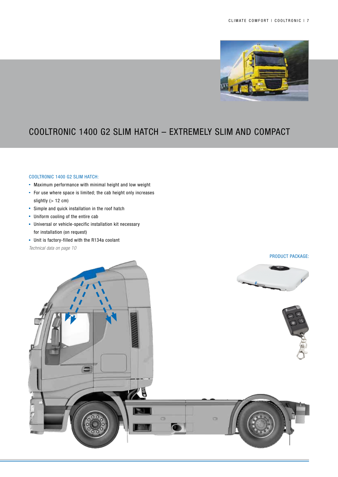

## Cooltronic 1400 G2 Slim Hatch – extremely slim and compact

## Cooltronic 1400 G2 SLIM hatch:

- Maximum performance with minimal height and low weight
- For use where space is limited; the cab height only increases slightly  $(> 12 cm)$
- Simple and quick installation in the roof hatch
- Uniform cooling of the entire cab
- Universal or vehicle-specific installation kit necessary for installation (on request)
- Unit is factory-filled with the R134a coolant

Technical data on page 10

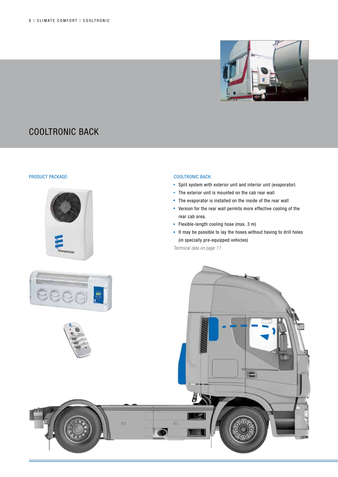

## Cooltronic BACK

## PRODUCT PACKAGE:



## Cooltronic Back:

- Split system with exterior unit and interior unit (evaporator)
- The exterior unit is mounted on the cab rear wall
- The evaporator is installed on the inside of the rear wall
- Version for the rear wall permits more effective cooling of the rear cab area.
- **Flexible-length cooling hose (max. 3 m)**
- <sup>•</sup> It may be possible to lay the hoses without having to drill holes (in specially pre-equipped vehicles)

Technical data on page 11

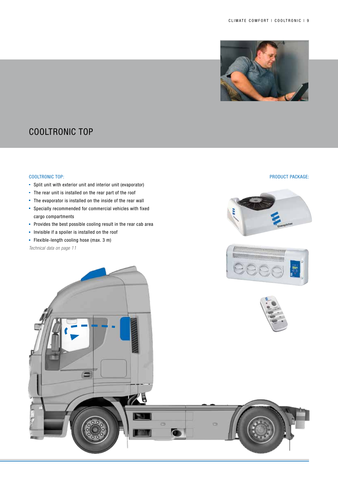

# Cooltronic Top

## COOLTRONIC TOP:

- Split unit with exterior unit and interior unit (evaporator)
- The rear unit is installed on the rear part of the roof
- The evaporator is installed on the inside of the rear wall

**Company** 

- Specially recommended for commercial vehicles with fixed cargo compartments
- **Provides the best possible cooling result in the rear cab area**
- Invisible if a spoiler is installed on the roof
- **Flexible-length cooling hose (max. 3 m)**

Technical data on page 11



PRODUCT PACKAGE:





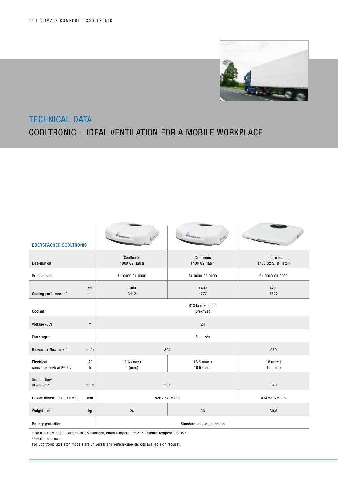

# TECHNICAL DATA Cooltronic – ideal ventilation for a mobile workplace

| <b>EBERSPÄCHER COOLTRONIC</b>         |              | $\tilde{E}_{\text{temperature}}$ | $E_{\rm boundary}$           |                                  |  |
|---------------------------------------|--------------|----------------------------------|------------------------------|----------------------------------|--|
| Designation                           |              | Cooltronic<br>1000 G2 Hatch      | Cooltronic<br>1400 G2 Hatch  | Cooltronic<br>1400 G2 Slim Hatch |  |
| Product code                          |              | 81 0000 01 0000                  | 81 0000 02 0000              | 81 0000 03 0000                  |  |
| Cooling performance*                  | W/<br>btu    | 1000<br>3412                     | 1400<br>4777                 | 1400<br>4777                     |  |
| Coolant                               |              | R134a (CFC-free)<br>pre-filled   |                              |                                  |  |
| Voltage (DC)                          | $\mathsf{V}$ | 24                               |                              |                                  |  |
| Fan stages                            |              | 5 speeds                         |                              |                                  |  |
| Blower air flow max.**                | $m^3/h$      | 800                              |                              | 970                              |  |
| Electrical<br>consumption/h at 26.5 V | A/<br>h      | 17.6 (max.)<br>$9$ (min.)        | 18.5 (max.)<br>$10.5$ (min.) | 18 (max.)<br>$10$ (min.)         |  |
| Unit air flow<br>at Speed 5           | $m^3/h$      | 235                              |                              | 240                              |  |
| Device dimensions (L x B x H)         | mm           | 826 x 740 x 208                  |                              | 874 x 897 x 116                  |  |
| Weight (unit)                         | kg           | 26                               | 33                           | 39,5                             |  |
| <b>Battery protection</b>             |              | Standard double protection       |                              |                                  |  |

\* Data determined according to JIS standard, cabin temperature 27 °, Outside temperature 35 °.

\*\* static pressure

For Cooltronic G2 Hatch models are universal and vehicle-specific kits available on request.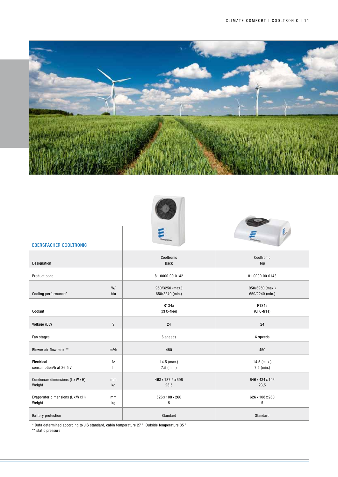

| <b>EBERSPÄCHER COOLTRONIC</b>               |              | $\mathbf{r}$                       | $\frac{1}{2}$<br>$\frac{d}{dt}$    |
|---------------------------------------------|--------------|------------------------------------|------------------------------------|
| Designation                                 |              | Cooltronic<br><b>Back</b>          | Cooltronic<br>Top                  |
| Product code                                |              | 81 0000 00 0142                    | 81 0000 00 0143                    |
| Cooling performance*                        | W/<br>btu    | 950/3250 (max.)<br>650/2240 (min.) | 950/3250 (max.)<br>650/2240 (min.) |
| Coolant                                     |              | R134a<br>(CFC-free)                | R134a<br>(CFC-free)                |
| Voltage (DC)                                | $\mathsf{V}$ | 24                                 | 24                                 |
| Fan stages                                  |              | 6 speeds                           | 6 speeds                           |
| Blower air flow max.**                      | $m^3/h$      | 450                                | 450                                |
| Electrical<br>consumption/h at 26.5 V       | A/<br>h      | $14.5$ (max.)<br>7.5 (min.)        | $14.5$ (max.)<br>7.5 (min.)        |
| Condenser dimensions (L x W x H)<br>Weight  | mm<br>kg     | 463 x 187,5 x 696<br>23,5          | 646 x 434 x 196<br>23,5            |
| Evaporator dimensions (L x W x H)<br>Weight | mm<br>kg     | 626 x 108 x 260<br>5               | 626 x 108 x 260<br>5               |
| <b>Battery protection</b>                   |              | Standard                           | Standard                           |

\* Data determined according to JIS standard, cabin temperature 27 °, Outside temperature 35 °.

\*\* static pressure